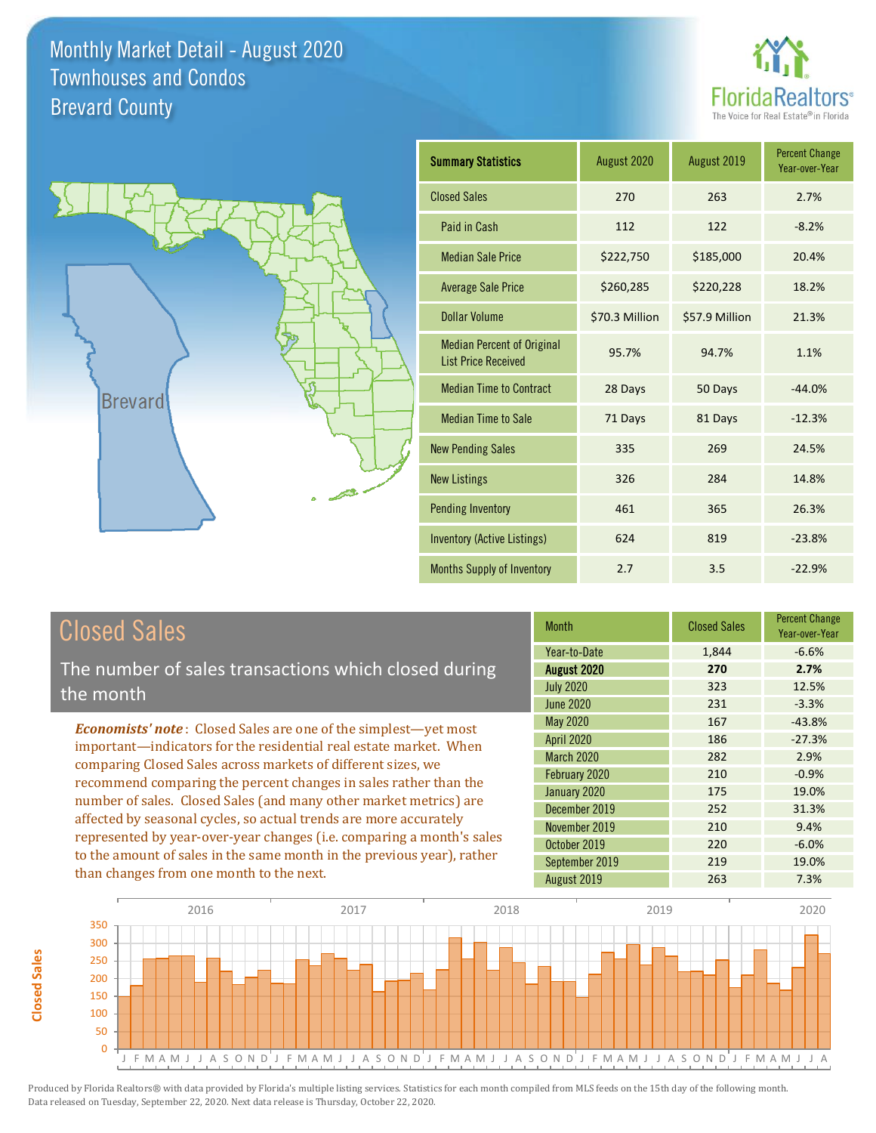



| <b>Summary Statistics</b>                                       | August 2020    | August 2019    | <b>Percent Change</b><br>Year-over-Year |
|-----------------------------------------------------------------|----------------|----------------|-----------------------------------------|
| <b>Closed Sales</b>                                             | 270            | 263            | 2.7%                                    |
| Paid in Cash                                                    | 112            | 122            | $-8.2%$                                 |
| <b>Median Sale Price</b>                                        | \$222,750      | \$185,000      | 20.4%                                   |
| <b>Average Sale Price</b>                                       | \$260,285      | \$220,228      | 18.2%                                   |
| <b>Dollar Volume</b>                                            | \$70.3 Million | \$57.9 Million | 21.3%                                   |
| <b>Median Percent of Original</b><br><b>List Price Received</b> | 95.7%          | 94.7%          | 1.1%                                    |
| <b>Median Time to Contract</b>                                  | 28 Days        | 50 Days        | $-44.0%$                                |
| <b>Median Time to Sale</b>                                      | 71 Days        | 81 Days        | $-12.3%$                                |
| <b>New Pending Sales</b>                                        | 335            | 269            | 24.5%                                   |
| <b>New Listings</b>                                             | 326            | 284            | 14.8%                                   |
| <b>Pending Inventory</b>                                        | 461            | 365            | 26.3%                                   |
| <b>Inventory (Active Listings)</b>                              | 624            | 819            | $-23.8%$                                |
| <b>Months Supply of Inventory</b>                               | 2.7            | 3.5            | $-22.9%$                                |

## Closed Sales

The number of sales transactions which closed during the month

*Economists' note* : Closed Sales are one of the simplest—yet most important—indicators for the residential real estate market. When comparing Closed Sales across markets of different sizes, we recommend comparing the percent changes in sales rather than the number of sales. Closed Sales (and many other market metrics) are affected by seasonal cycles, so actual trends are more accurately represented by year-over-year changes (i.e. comparing a month's sales to the amount of sales in the same month in the previous year), rather than changes from one month to the next.

| <b>Month</b>     | <b>Closed Sales</b> | <b>Percent Change</b><br>Year-over-Year |
|------------------|---------------------|-----------------------------------------|
| Year-to-Date     | 1,844               | $-6.6%$                                 |
| August 2020      | 270                 | 2.7%                                    |
| <b>July 2020</b> | 323                 | 12.5%                                   |
| <b>June 2020</b> | 231                 | $-3.3%$                                 |
| <b>May 2020</b>  | 167                 | $-43.8%$                                |
| April 2020       | 186                 | $-27.3%$                                |
| March 2020       | 282                 | 2.9%                                    |
| February 2020    | 210                 | $-0.9%$                                 |
| January 2020     | 175                 | 19.0%                                   |
| December 2019    | 252                 | 31.3%                                   |
| November 2019    | 210                 | 9.4%                                    |
| October 2019     | 220                 | $-6.0%$                                 |
| September 2019   | 219                 | 19.0%                                   |
| August 2019      | 263                 | 7.3%                                    |

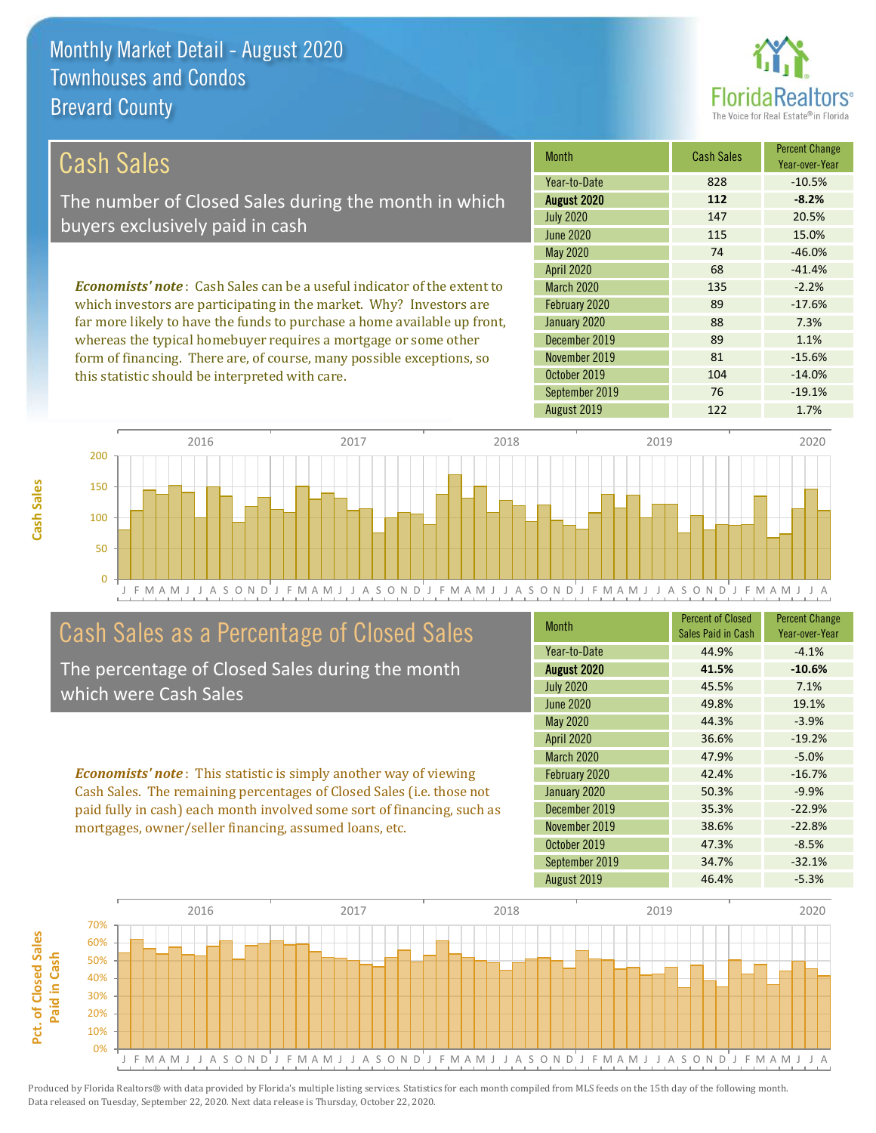this statistic should be interpreted with care.



104 -14.0%

| <b>Cash Sales</b>                                                              | <b>Month</b>      | <b>Cash Sales</b> | <b>Percent Change</b><br>Year-over-Year |
|--------------------------------------------------------------------------------|-------------------|-------------------|-----------------------------------------|
|                                                                                | Year-to-Date      | 828               | $-10.5%$                                |
| The number of Closed Sales during the month in which                           | August 2020       | 112               | $-8.2%$                                 |
| buyers exclusively paid in cash                                                | <b>July 2020</b>  | 147               | 20.5%                                   |
|                                                                                | June 2020         | 115               | 15.0%                                   |
|                                                                                | May 2020          | 74                | $-46.0%$                                |
|                                                                                | <b>April 2020</b> | 68                | $-41.4%$                                |
| <b>Economists' note:</b> Cash Sales can be a useful indicator of the extent to | <b>March 2020</b> | 135               | $-2.2%$                                 |
| which investors are participating in the market. Why? Investors are            | February 2020     | 89                | $-17.6%$                                |
| far more likely to have the funds to purchase a home available up front,       | January 2020      | 88                | 7.3%                                    |
| whereas the typical homebuyer requires a mortgage or some other                | December 2019     | 89                | 1.1%                                    |
| form of financing. There are, of course, many possible exceptions, so          | November 2019     | 81                | $-15.6%$                                |



## Cash Sales as a Percentage of Closed Sales

The percentage of Closed Sales during the month which were Cash Sales

*Economists' note* : This statistic is simply another way of viewing Cash Sales. The remaining percentages of Closed Sales (i.e. those not paid fully in cash) each month involved some sort of financing, such as mortgages, owner/seller financing, assumed loans, etc.

| <b>Month</b>      | <b>Percent of Closed</b><br>Sales Paid in Cash | <b>Percent Change</b><br>Year-over-Year |
|-------------------|------------------------------------------------|-----------------------------------------|
| Year-to-Date      | 44.9%                                          | $-4.1%$                                 |
| August 2020       | 41.5%                                          | $-10.6%$                                |
| <b>July 2020</b>  | 45.5%                                          | 7.1%                                    |
| <b>June 2020</b>  | 49.8%                                          | 19.1%                                   |
| May 2020          | 44.3%                                          | $-3.9%$                                 |
| <b>April 2020</b> | 36.6%                                          | $-19.2%$                                |
| March 2020        | 47.9%                                          | $-5.0%$                                 |
| February 2020     | 42.4%                                          | $-16.7%$                                |
| January 2020      | 50.3%                                          | $-9.9%$                                 |
| December 2019     | 35.3%                                          | $-22.9%$                                |
| November 2019     | 38.6%                                          | $-22.8%$                                |
| October 2019      | 47.3%                                          | $-8.5%$                                 |
| September 2019    | 34.7%                                          | $-32.1%$                                |
| August 2019       | 46.4%                                          | $-5.3%$                                 |

September 2019 76 -19.1%

October 2019

August 2019 122 1.7%



**Cash Sales**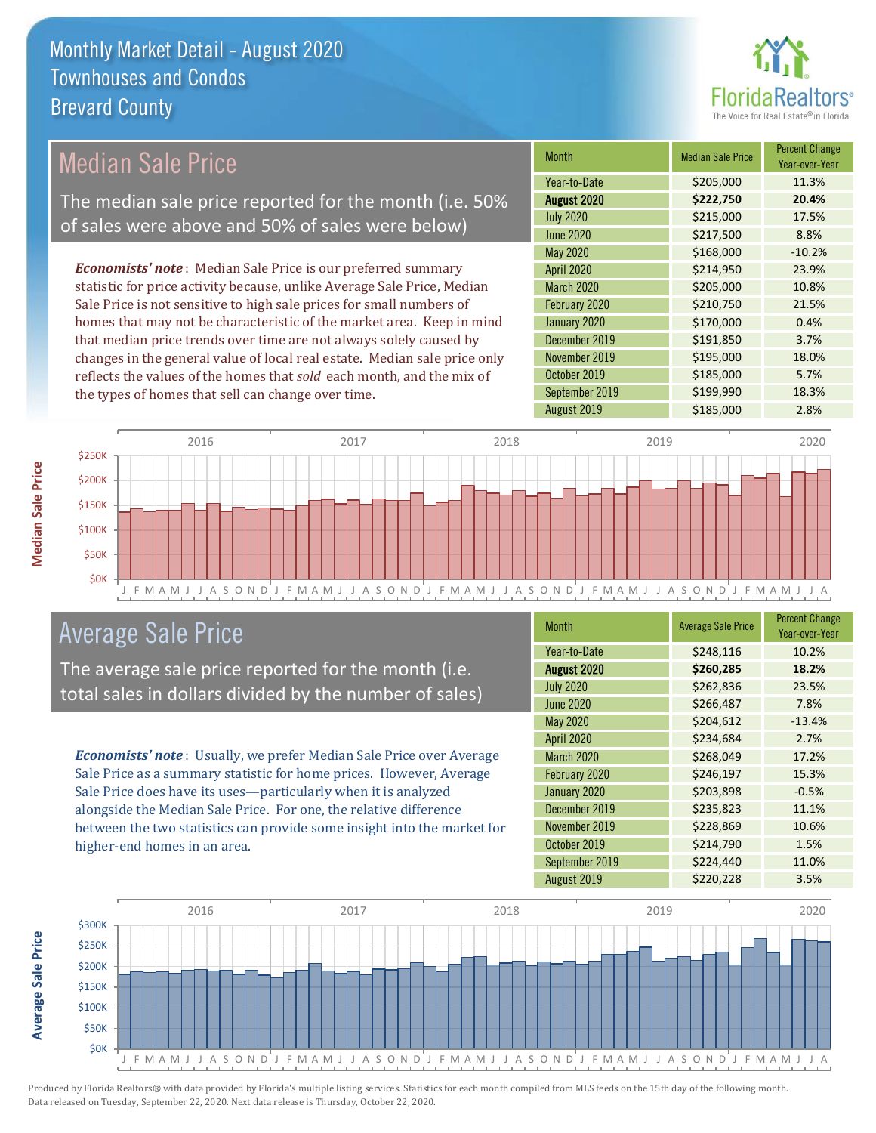

## Median Sale Price

The median sale price reported for the month (i.e. 50% of sales were above and 50% of sales were below)

*Economists' note* : Median Sale Price is our preferred summary statistic for price activity because, unlike Average Sale Price, Median Sale Price is not sensitive to high sale prices for small numbers of homes that may not be characteristic of the market area. Keep in mind that median price trends over time are not always solely caused by changes in the general value of local real estate. Median sale price only reflects the values of the homes that *sold* each month, and the mix of the types of homes that sell can change over time.

| <b>Month</b>     | <b>Median Sale Price</b> | <b>Percent Change</b><br>Year-over-Year |
|------------------|--------------------------|-----------------------------------------|
| Year-to-Date     | \$205,000                | 11.3%                                   |
| August 2020      | \$222,750                | 20.4%                                   |
| <b>July 2020</b> | \$215,000                | 17.5%                                   |
| <b>June 2020</b> | \$217,500                | 8.8%                                    |
| May 2020         | \$168,000                | $-10.2%$                                |
| April 2020       | \$214,950                | 23.9%                                   |
| March 2020       | \$205,000                | 10.8%                                   |
| February 2020    | \$210,750                | 21.5%                                   |
| January 2020     | \$170,000                | 0.4%                                    |
| December 2019    | \$191,850                | 3.7%                                    |
| November 2019    | \$195,000                | 18.0%                                   |
| October 2019     | \$185,000                | 5.7%                                    |
| September 2019   | \$199,990                | 18.3%                                   |
| August 2019      | \$185,000                | 2.8%                                    |



### Average Sale Price

The average sale price reported for the month (i.e. total sales in dollars divided by the number of sales)

*Economists' note* : Usually, we prefer Median Sale Price over Average Sale Price as a summary statistic for home prices. However, Average Sale Price does have its uses—particularly when it is analyzed alongside the Median Sale Price. For one, the relative difference between the two statistics can provide some insight into the market for higher-end homes in an area.

| <b>Month</b>      | <b>Average Sale Price</b> | <b>Percent Change</b><br>Year-over-Year |
|-------------------|---------------------------|-----------------------------------------|
| Year-to-Date      | \$248,116                 | 10.2%                                   |
| August 2020       | \$260,285                 | 18.2%                                   |
| <b>July 2020</b>  | \$262,836                 | 23.5%                                   |
| <b>June 2020</b>  | \$266,487                 | 7.8%                                    |
| May 2020          | \$204,612                 | $-13.4%$                                |
| April 2020        | \$234,684                 | 2.7%                                    |
| <b>March 2020</b> | \$268,049                 | 17.2%                                   |
| February 2020     | \$246,197                 | 15.3%                                   |
| January 2020      | \$203,898                 | $-0.5%$                                 |
| December 2019     | \$235,823                 | 11.1%                                   |
| November 2019     | \$228,869                 | 10.6%                                   |
| October 2019      | \$214,790                 | 1.5%                                    |
| September 2019    | \$224,440                 | 11.0%                                   |
| August 2019       | \$220,228                 | 3.5%                                    |



**Median Sale Price**

**Median Sale Price**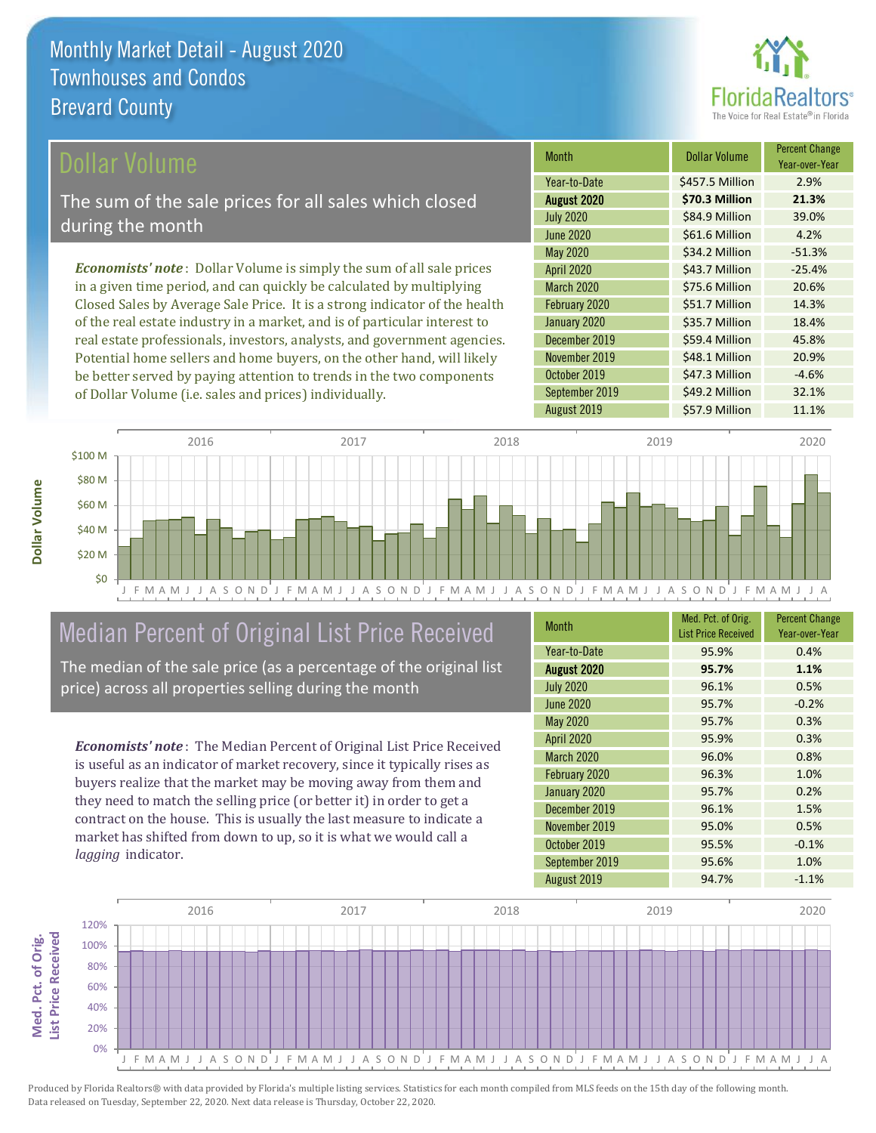

#### ollar Volume

The sum of the sale prices for all sales which closed during the month

*Economists' note* : Dollar Volume is simply the sum of all sale prices in a given time period, and can quickly be calculated by multiplying Closed Sales by Average Sale Price. It is a strong indicator of the health of the real estate industry in a market, and is of particular interest to real estate professionals, investors, analysts, and government agencies. Potential home sellers and home buyers, on the other hand, will likely be better served by paying attention to trends in the two components of Dollar Volume (i.e. sales and prices) individually.

| <b>Month</b>      | Dollar Volume   | <b>Percent Change</b><br>Year-over-Year |
|-------------------|-----------------|-----------------------------------------|
| Year-to-Date      | \$457.5 Million | 2.9%                                    |
| August 2020       | \$70.3 Million  | 21.3%                                   |
| <b>July 2020</b>  | \$84.9 Million  | 39.0%                                   |
| <b>June 2020</b>  | \$61.6 Million  | 4.2%                                    |
| <b>May 2020</b>   | \$34.2 Million  | $-51.3%$                                |
| <b>April 2020</b> | \$43.7 Million  | $-25.4%$                                |
| March 2020        | \$75.6 Million  | 20.6%                                   |
| February 2020     | \$51.7 Million  | 14.3%                                   |
| January 2020      | \$35.7 Million  | 18.4%                                   |
| December 2019     | \$59.4 Million  | 45.8%                                   |
| November 2019     | \$48.1 Million  | 20.9%                                   |
| October 2019      | \$47.3 Million  | $-4.6%$                                 |
| September 2019    | \$49.2 Million  | 32.1%                                   |
| August 2019       | \$57.9 Million  | 11.1%                                   |



# Median Percent of Original List Price Received

The median of the sale price (as a percentage of the original list price) across all properties selling during the month

*Economists' note* : The Median Percent of Original List Price Received is useful as an indicator of market recovery, since it typically rises as buyers realize that the market may be moving away from them and they need to match the selling price (or better it) in order to get a contract on the house. This is usually the last measure to indicate a market has shifted from down to up, so it is what we would call a *lagging* indicator.

| <b>Month</b>      | Med. Pct. of Orig.<br><b>List Price Received</b> | <b>Percent Change</b><br>Year-over-Year |
|-------------------|--------------------------------------------------|-----------------------------------------|
| Year-to-Date      | 95.9%                                            | 0.4%                                    |
| August 2020       | 95.7%                                            | 1.1%                                    |
| <b>July 2020</b>  | 96.1%                                            | 0.5%                                    |
| <b>June 2020</b>  | 95.7%                                            | $-0.2%$                                 |
| May 2020          | 95.7%                                            | 0.3%                                    |
| April 2020        | 95.9%                                            | 0.3%                                    |
| <b>March 2020</b> | 96.0%                                            | 0.8%                                    |
| February 2020     | 96.3%                                            | 1.0%                                    |
| January 2020      | 95.7%                                            | 0.2%                                    |
| December 2019     | 96.1%                                            | 1.5%                                    |
| November 2019     | 95.0%                                            | 0.5%                                    |
| October 2019      | 95.5%                                            | $-0.1%$                                 |
| September 2019    | 95.6%                                            | 1.0%                                    |
| August 2019       | 94.7%                                            | $-1.1%$                                 |

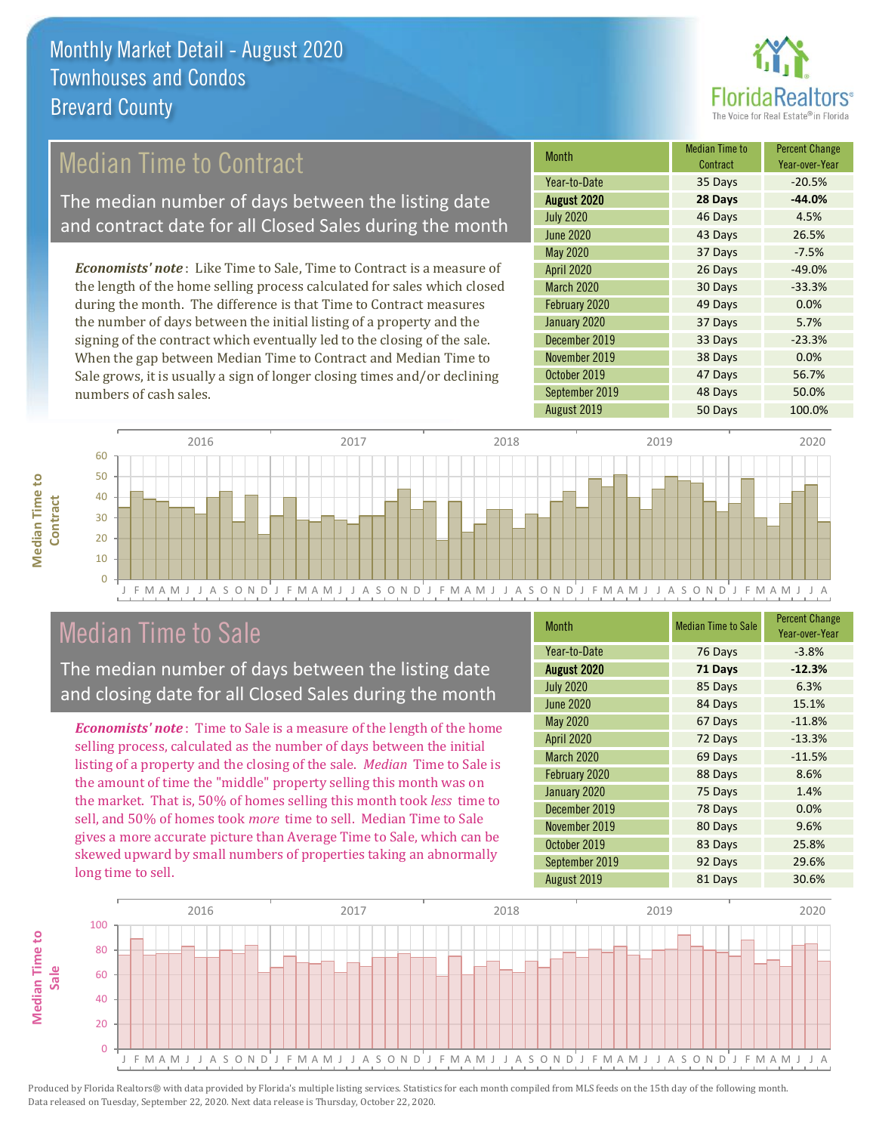

## Median Time to Contract

The median number of days between the listing date and contract date for all Closed Sales during the month

*Economists' note* : Like Time to Sale, Time to Contract is a measure of the length of the home selling process calculated for sales which closed during the month. The difference is that Time to Contract measures the number of days between the initial listing of a property and the signing of the contract which eventually led to the closing of the sale. When the gap between Median Time to Contract and Median Time to Sale grows, it is usually a sign of longer closing times and/or declining numbers of cash sales.

| <b>Month</b>      | <b>Median Time to</b><br>Contract | <b>Percent Change</b><br>Year-over-Year |
|-------------------|-----------------------------------|-----------------------------------------|
| Year-to-Date      | 35 Days                           | $-20.5%$                                |
| August 2020       | 28 Days                           | $-44.0%$                                |
| <b>July 2020</b>  | 46 Days                           | 4.5%                                    |
| <b>June 2020</b>  | 43 Days                           | 26.5%                                   |
| May 2020          | 37 Days                           | $-7.5%$                                 |
| <b>April 2020</b> | 26 Days                           | $-49.0%$                                |
| <b>March 2020</b> | 30 Days                           | $-33.3%$                                |
| February 2020     | 49 Days                           | 0.0%                                    |
| January 2020      | 37 Days                           | 5.7%                                    |
| December 2019     | 33 Days                           | $-23.3%$                                |
| November 2019     | 38 Days                           | 0.0%                                    |
| October 2019      | 47 Days                           | 56.7%                                   |
| September 2019    | 48 Days                           | 50.0%                                   |
| August 2019       | 50 Days                           | 100.0%                                  |



## Median Time to Sale

**Median Time to Contract**

**Median Time to** 

The median number of days between the listing date and closing date for all Closed Sales during the month

*Economists' note* : Time to Sale is a measure of the length of the home selling process, calculated as the number of days between the initial listing of a property and the closing of the sale. *Median* Time to Sale is the amount of time the "middle" property selling this month was on the market. That is, 50% of homes selling this month took *less* time to sell, and 50% of homes took *more* time to sell. Median Time to Sale gives a more accurate picture than Average Time to Sale, which can be skewed upward by small numbers of properties taking an abnormally long time to sell.

| <b>Month</b>      | <b>Median Time to Sale</b> | <b>Percent Change</b><br>Year-over-Year |
|-------------------|----------------------------|-----------------------------------------|
| Year-to-Date      | 76 Days                    | $-3.8%$                                 |
| August 2020       | 71 Days                    | $-12.3%$                                |
| <b>July 2020</b>  | 85 Days                    | 6.3%                                    |
| <b>June 2020</b>  | 84 Days                    | 15.1%                                   |
| May 2020          | 67 Days                    | $-11.8%$                                |
| April 2020        | 72 Days                    | $-13.3%$                                |
| <b>March 2020</b> | 69 Days                    | $-11.5%$                                |
| February 2020     | 88 Days                    | 8.6%                                    |
| January 2020      | 75 Days                    | 1.4%                                    |
| December 2019     | 78 Days                    | 0.0%                                    |
| November 2019     | 80 Days                    | 9.6%                                    |
| October 2019      | 83 Days                    | 25.8%                                   |
| September 2019    | 92 Days                    | 29.6%                                   |
| August 2019       | 81 Days                    | 30.6%                                   |

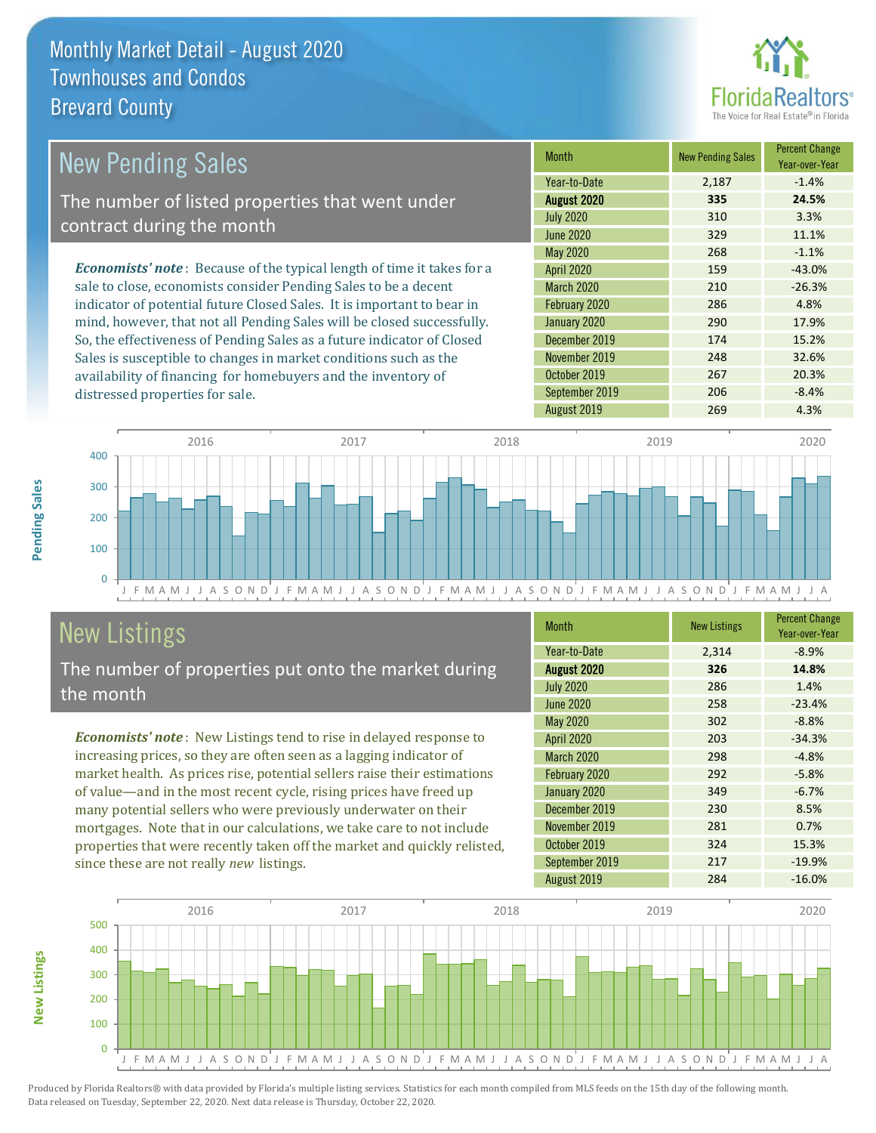

| <b>New Pending Sales</b>                                                       | <b>Month</b>      | <b>New Pending Sales</b> | <b>Percent Change</b><br>Year-over-Year |
|--------------------------------------------------------------------------------|-------------------|--------------------------|-----------------------------------------|
|                                                                                | Year-to-Date      | 2,187                    | $-1.4%$                                 |
| The number of listed properties that went under                                | August 2020       | 335                      | 24.5%                                   |
| contract during the month                                                      | <b>July 2020</b>  | 310                      | 3.3%                                    |
|                                                                                | <b>June 2020</b>  | 329                      | 11.1%                                   |
|                                                                                | <b>May 2020</b>   | 268                      | $-1.1%$                                 |
| <b>Economists' note</b> : Because of the typical length of time it takes for a | <b>April 2020</b> | 159                      | $-43.0%$                                |
| sale to close, economists consider Pending Sales to be a decent                | <b>March 2020</b> | 210                      | $-26.3%$                                |
| indicator of potential future Closed Sales. It is important to bear in         | February 2020     | 286                      | 4.8%                                    |
| mind, however, that not all Pending Sales will be closed successfully.         | January 2020      | 290                      | 17.9%                                   |
| So, the effectiveness of Pending Sales as a future indicator of Closed         | December 2019     | 174                      | 15.2%                                   |
| Sales is susceptible to changes in market conditions such as the               | November 2019     | 248                      | 32.6%                                   |
| availability of financing for homebuyers and the inventory of                  | October 2019      | 267                      | 20.3%                                   |



## New Listings

distressed properties for sale.

The number of properties put onto the market during the month

*Economists' note* : New Listings tend to rise in delayed response to increasing prices, so they are often seen as a lagging indicator of market health. As prices rise, potential sellers raise their estimations of value—and in the most recent cycle, rising prices have freed up many potential sellers who were previously underwater on their mortgages. Note that in our calculations, we take care to not include properties that were recently taken off the market and quickly relisted, since these are not really *new* listings.

| <b>Month</b>      | <b>New Listings</b> | <b>Percent Change</b><br>Year-over-Year |
|-------------------|---------------------|-----------------------------------------|
| Year-to-Date      | 2,314               | $-8.9%$                                 |
| August 2020       | 326                 | 14.8%                                   |
| <b>July 2020</b>  | 286                 | 1.4%                                    |
| <b>June 2020</b>  | 258                 | $-23.4%$                                |
| May 2020          | 302                 | $-8.8%$                                 |
| April 2020        | 203                 | $-34.3%$                                |
| <b>March 2020</b> | 298                 | $-4.8%$                                 |
| February 2020     | 292                 | $-5.8%$                                 |
| January 2020      | 349                 | $-6.7%$                                 |
| December 2019     | 230                 | 8.5%                                    |
| November 2019     | 281                 | 0.7%                                    |
| October 2019      | 324                 | 15.3%                                   |
| September 2019    | 217                 | $-19.9%$                                |
| August 2019       | 284                 | $-16.0%$                                |

September 2019 **206** -8.4%



Produced by Florida Realtors® with data provided by Florida's multiple listing services. Statistics for each month compiled from MLS feeds on the 15th day of the following month. Data released on Tuesday, September 22, 2020. Next data release is Thursday, October 22, 2020.

**New Listings**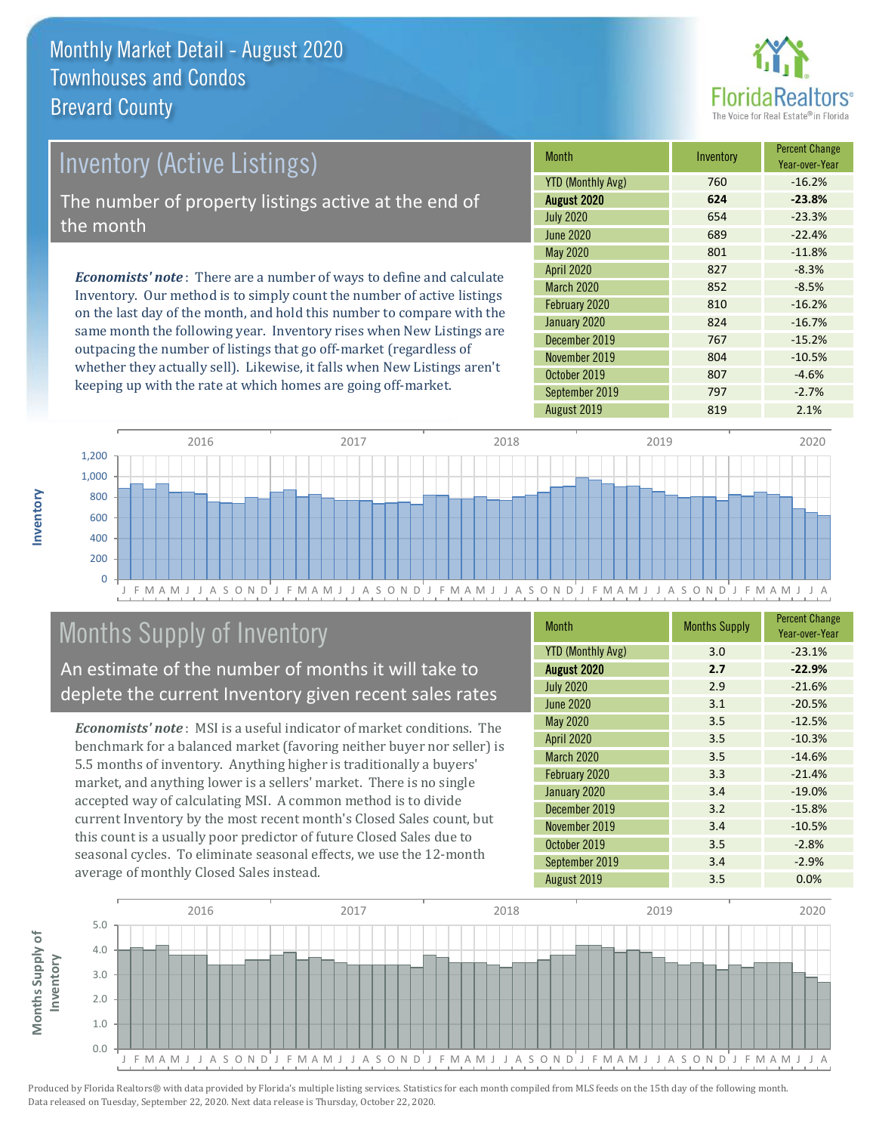

# *Economists' note* : There are a number of ways to define and calculate Inventory (Active Listings) The number of property listings active at the end of the month

Inventory. Our method is to simply count the number of active listings on the last day of the month, and hold this number to compare with the same month the following year. Inventory rises when New Listings are outpacing the number of listings that go off-market (regardless of whether they actually sell). Likewise, it falls when New Listings aren't keeping up with the rate at which homes are going off-market.

| <b>Month</b>             |  | Inventory | <b>Percent Change</b><br>Year-over-Year |
|--------------------------|--|-----------|-----------------------------------------|
| <b>YTD (Monthly Avg)</b> |  | 760       | $-16.2%$                                |
| August 2020              |  | 624       | $-23.8%$                                |
| <b>July 2020</b>         |  | 654       | $-23.3%$                                |
| <b>June 2020</b>         |  | 689       | $-22.4%$                                |
| <b>May 2020</b>          |  | 801       | $-11.8%$                                |
| <b>April 2020</b>        |  | 827       | $-8.3%$                                 |
| <b>March 2020</b>        |  | 852       | $-8.5%$                                 |
| February 2020            |  | 810       | $-16.2%$                                |
| January 2020             |  | 824       | $-16.7%$                                |
| December 2019            |  | 767       | $-15.2%$                                |
| November 2019            |  | 804       | $-10.5%$                                |
| October 2019             |  | 807       | $-4.6%$                                 |
| September 2019           |  | 797       | $-2.7%$                                 |
| August 2019              |  | 819       | 2.1%                                    |



## Months Supply of Inventory

An estimate of the number of months it will take to deplete the current Inventory given recent sales rates

*Economists' note* : MSI is a useful indicator of market conditions. The benchmark for a balanced market (favoring neither buyer nor seller) is 5.5 months of inventory. Anything higher is traditionally a buyers' market, and anything lower is a sellers' market. There is no single accepted way of calculating MSI. A common method is to divide current Inventory by the most recent month's Closed Sales count, but this count is a usually poor predictor of future Closed Sales due to seasonal cycles. To eliminate seasonal effects, we use the 12-month average of monthly Closed Sales instead.

| Month                    | <b>Months Supply</b> | <b>Percent Change</b><br>Year-over-Year |
|--------------------------|----------------------|-----------------------------------------|
| <b>YTD (Monthly Avg)</b> | 3.0                  | $-23.1%$                                |
| August 2020              | 2.7                  | $-22.9%$                                |
| <b>July 2020</b>         | 2.9                  | $-21.6%$                                |
| <b>June 2020</b>         | 3.1                  | $-20.5%$                                |
| May 2020                 | 3.5                  | $-12.5%$                                |
| April 2020               | 3.5                  | $-10.3%$                                |
| March 2020               | 3.5                  | $-14.6%$                                |
| February 2020            | 3.3                  | $-21.4%$                                |
| January 2020             | 3.4                  | $-19.0%$                                |
| December 2019            | 3.2                  | $-15.8%$                                |
| November 2019            | 3.4                  | $-10.5%$                                |
| October 2019             | 3.5                  | $-2.8%$                                 |
| September 2019           | 3.4                  | $-2.9%$                                 |
| August 2019              | 3.5                  | 0.0%                                    |



**Inventory**

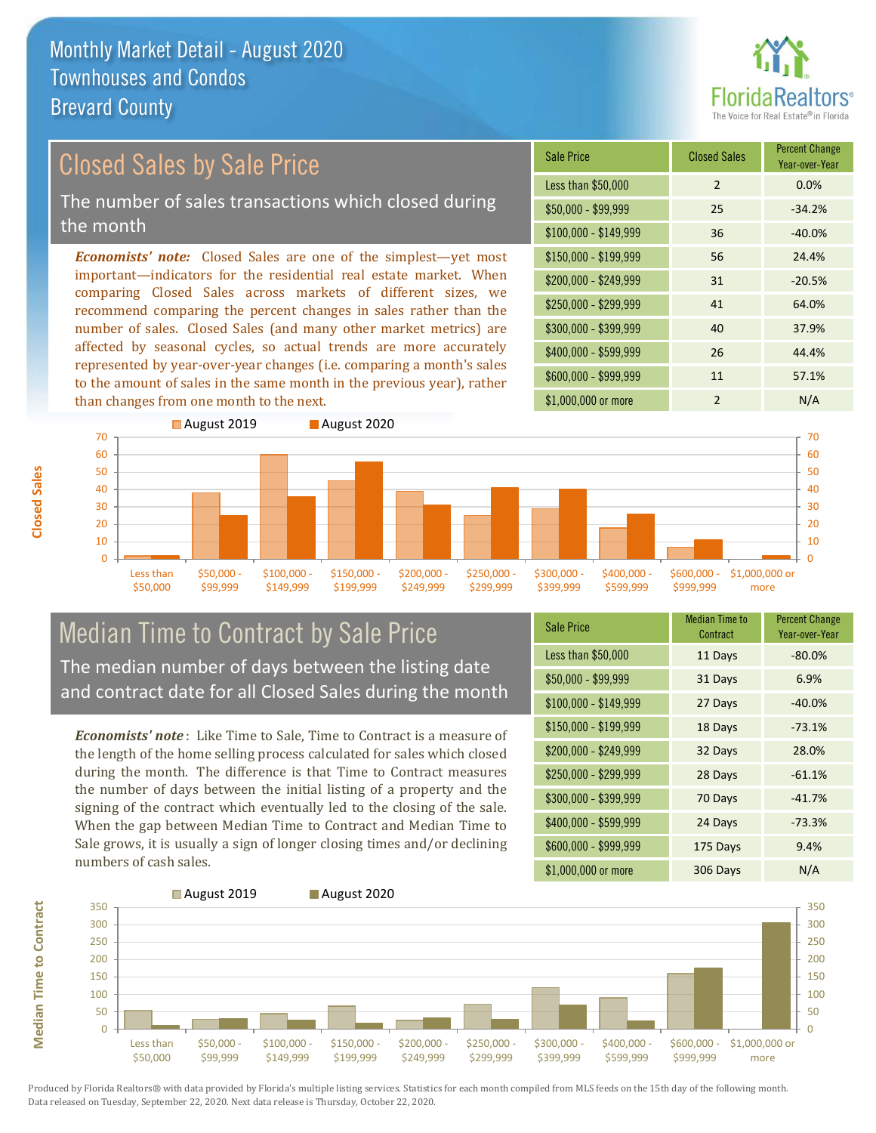

#### *Economists' note:* Closed Sales are one of the simplest—yet most important—indicators for the residential real estate market. When comparing Closed Sales across markets of different sizes, we recommend comparing the percent changes in sales rather than the number of sales. Closed Sales (and many other market metrics) are Closed Sales by Sale Price The number of sales transactions which closed during the month

affected by seasonal cycles, so actual trends are more accurately represented by year-over-year changes (i.e. comparing a month's sales to the amount of sales in the same month in the previous year), rather than changes from one month to the next.





#### Median Time to Contract by Sale Price The median number of days between the listing date and contract date for all Closed Sales during the month

*Economists' note* : Like Time to Sale, Time to Contract is a measure of the length of the home selling process calculated for sales which closed during the month. The difference is that Time to Contract measures the number of days between the initial listing of a property and the signing of the contract which eventually led to the closing of the sale. When the gap between Median Time to Contract and Median Time to Sale grows, it is usually a sign of longer closing times and/or declining numbers of cash sales.

| <b>Sale Price</b>     | Median Time to<br>Contract | <b>Percent Change</b><br>Year-over-Year |
|-----------------------|----------------------------|-----------------------------------------|
| Less than \$50,000    | 11 Days                    | $-80.0%$                                |
| $$50,000 - $99,999$   | 31 Days                    | 6.9%                                    |
| $$100,000 - $149,999$ | 27 Days                    | $-40.0%$                                |
| $$150,000 - $199,999$ | 18 Days                    | $-73.1%$                                |
| \$200,000 - \$249,999 | 32 Days                    | 28.0%                                   |
| \$250,000 - \$299,999 | 28 Days                    | $-61.1%$                                |
| \$300,000 - \$399,999 | 70 Days                    | $-41.7%$                                |
| \$400,000 - \$599,999 | 24 Days                    | $-73.3%$                                |
| \$600,000 - \$999,999 | 175 Days                   | 9.4%                                    |
| \$1,000,000 or more   | 306 Days                   | N/A                                     |



Produced by Florida Realtors® with data provided by Florida's multiple listing services. Statistics for each month compiled from MLS feeds on the 15th day of the following month. Data released on Tuesday, September 22, 2020. Next data release is Thursday, October 22, 2020.

**Median Time to Contract**

**Median Time to Contract**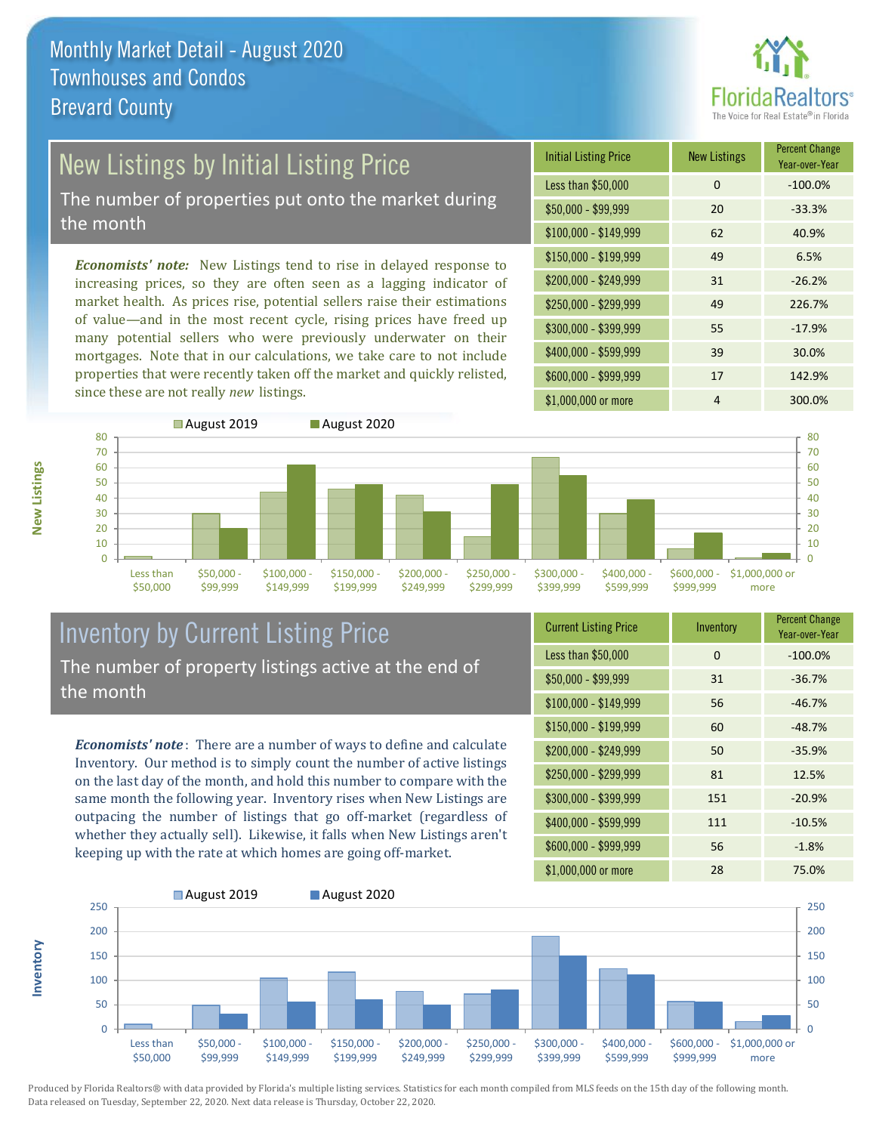

# New Listings by Initial Listing Price

The number of properties put onto the market during the month

*Economists' note:* New Listings tend to rise in delayed response to increasing prices, so they are often seen as a lagging indicator of market health. As prices rise, potential sellers raise their estimations of value—and in the most recent cycle, rising prices have freed up many potential sellers who were previously underwater on their mortgages. Note that in our calculations, we take care to not include properties that were recently taken off the market and quickly relisted, since these are not really *new* listings.

| <b>Initial Listing Price</b> | <b>New Listings</b> | <b>Percent Change</b><br>Year-over-Year |
|------------------------------|---------------------|-----------------------------------------|
| Less than \$50,000           | 0                   | $-100.0%$                               |
| $$50,000 - $99,999$          | 20                  | $-33.3%$                                |
| $$100,000 - $149,999$        | 62                  | 40.9%                                   |
| $$150,000 - $199,999$        | 49                  | 6.5%                                    |
| \$200,000 - \$249,999        | 31                  | $-26.2%$                                |
| \$250,000 - \$299,999        | 49                  | 226.7%                                  |
| \$300,000 - \$399,999        | 55                  | $-17.9%$                                |
| \$400,000 - \$599,999        | 39                  | 30.0%                                   |
| \$600,000 - \$999,999        | 17                  | 142.9%                                  |
| \$1,000,000 or more          | 4                   | 300.0%                                  |



#### Inventory by Current Listing Price The number of property listings active at the end of the month

*Economists' note* : There are a number of ways to define and calculate Inventory. Our method is to simply count the number of active listings on the last day of the month, and hold this number to compare with the same month the following year. Inventory rises when New Listings are outpacing the number of listings that go off-market (regardless of whether they actually sell). Likewise, it falls when New Listings aren't keeping up with the rate at which homes are going off-market.

| <b>Current Listing Price</b> | Inventory | <b>Percent Change</b><br>Year-over-Year |
|------------------------------|-----------|-----------------------------------------|
| Less than \$50,000           | 0         | $-100.0%$                               |
| $$50,000 - $99,999$          | 31        | $-36.7%$                                |
| $$100,000 - $149,999$        | 56        | $-46.7%$                                |
| $$150,000 - $199,999$        | 60        | $-48.7%$                                |
| \$200,000 - \$249,999        | 50        | $-35.9%$                                |
| \$250,000 - \$299,999        | 81        | 12.5%                                   |
| \$300,000 - \$399,999        | 151       | $-20.9%$                                |
| $$400,000 - $599,999$        | 111       | $-10.5%$                                |
| \$600,000 - \$999,999        | 56        | $-1.8%$                                 |
| \$1,000,000 or more          | 28        | 75.0%                                   |



Produced by Florida Realtors® with data provided by Florida's multiple listing services. Statistics for each month compiled from MLS feeds on the 15th day of the following month. Data released on Tuesday, September 22, 2020. Next data release is Thursday, October 22, 2020.

**Inventory**